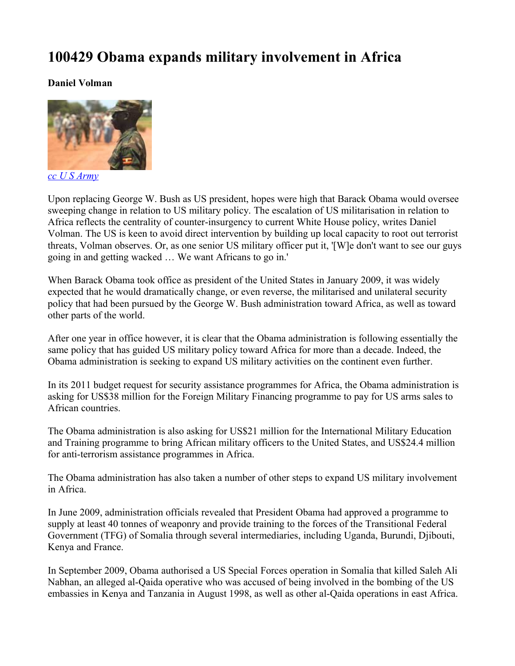## **100429 Obama expands military involvement in Africa**

**Daniel Volman**



*[cc U S Army](http://www.flickr.com/photos/usarmyafrica/4005663805/)*

Upon replacing George W. Bush as US president, hopes were high that Barack Obama would oversee sweeping change in relation to US military policy. The escalation of US militarisation in relation to Africa reflects the centrality of counter-insurgency to current White House policy, writes Daniel Volman. The US is keen to avoid direct intervention by building up local capacity to root out terrorist threats, Volman observes. Or, as one senior US military officer put it, '[W]e don't want to see our guys going in and getting wacked … We want Africans to go in.'

When Barack Obama took office as president of the United States in January 2009, it was widely expected that he would dramatically change, or even reverse, the militarised and unilateral security policy that had been pursued by the George W. Bush administration toward Africa, as well as toward other parts of the world.

After one year in office however, it is clear that the Obama administration is following essentially the same policy that has guided US military policy toward Africa for more than a decade. Indeed, the Obama administration is seeking to expand US military activities on the continent even further.

In its 2011 budget request for security assistance programmes for Africa, the Obama administration is asking for US\$38 million for the Foreign Military Financing programme to pay for US arms sales to African countries.

The Obama administration is also asking for US\$21 million for the International Military Education and Training programme to bring African military officers to the United States, and US\$24.4 million for anti-terrorism assistance programmes in Africa.

The Obama administration has also taken a number of other steps to expand US military involvement in Africa.

In June 2009, administration officials revealed that President Obama had approved a programme to supply at least 40 tonnes of weaponry and provide training to the forces of the Transitional Federal Government (TFG) of Somalia through several intermediaries, including Uganda, Burundi, Djibouti, Kenya and France.

In September 2009, Obama authorised a US Special Forces operation in Somalia that killed Saleh Ali Nabhan, an alleged al-Qaida operative who was accused of being involved in the bombing of the US embassies in Kenya and Tanzania in August 1998, as well as other al-Qaida operations in east Africa.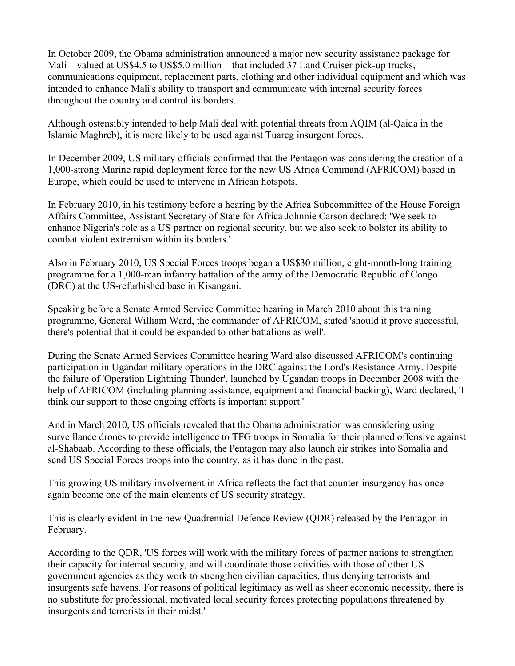In October 2009, the Obama administration announced a major new security assistance package for Mali – valued at US\$4.5 to US\$5.0 million – that included 37 Land Cruiser pick-up trucks, communications equipment, replacement parts, clothing and other individual equipment and which was intended to enhance Mali's ability to transport and communicate with internal security forces throughout the country and control its borders.

Although ostensibly intended to help Mali deal with potential threats from AQIM (al-Qaida in the Islamic Maghreb), it is more likely to be used against Tuareg insurgent forces.

In December 2009, US military officials confirmed that the Pentagon was considering the creation of a 1,000-strong Marine rapid deployment force for the new US Africa Command (AFRICOM) based in Europe, which could be used to intervene in African hotspots.

In February 2010, in his testimony before a hearing by the Africa Subcommittee of the House Foreign Affairs Committee, Assistant Secretary of State for Africa Johnnie Carson declared: 'We seek to enhance Nigeria's role as a US partner on regional security, but we also seek to bolster its ability to combat violent extremism within its borders.'

Also in February 2010, US Special Forces troops began a US\$30 million, eight-month-long training programme for a 1,000-man infantry battalion of the army of the Democratic Republic of Congo (DRC) at the US-refurbished base in Kisangani.

Speaking before a Senate Armed Service Committee hearing in March 2010 about this training programme, General William Ward, the commander of AFRICOM, stated 'should it prove successful, there's potential that it could be expanded to other battalions as well'.

During the Senate Armed Services Committee hearing Ward also discussed AFRICOM's continuing participation in Ugandan military operations in the DRC against the Lord's Resistance Army. Despite the failure of 'Operation Lightning Thunder', launched by Ugandan troops in December 2008 with the help of AFRICOM (including planning assistance, equipment and financial backing), Ward declared, 'I think our support to those ongoing efforts is important support.'

And in March 2010, US officials revealed that the Obama administration was considering using surveillance drones to provide intelligence to TFG troops in Somalia for their planned offensive against al-Shabaab. According to these officials, the Pentagon may also launch air strikes into Somalia and send US Special Forces troops into the country, as it has done in the past.

This growing US military involvement in Africa reflects the fact that counter-insurgency has once again become one of the main elements of US security strategy.

This is clearly evident in the new Quadrennial Defence Review (QDR) released by the Pentagon in February.

According to the QDR, 'US forces will work with the military forces of partner nations to strengthen their capacity for internal security, and will coordinate those activities with those of other US government agencies as they work to strengthen civilian capacities, thus denying terrorists and insurgents safe havens. For reasons of political legitimacy as well as sheer economic necessity, there is no substitute for professional, motivated local security forces protecting populations threatened by insurgents and terrorists in their midst.'